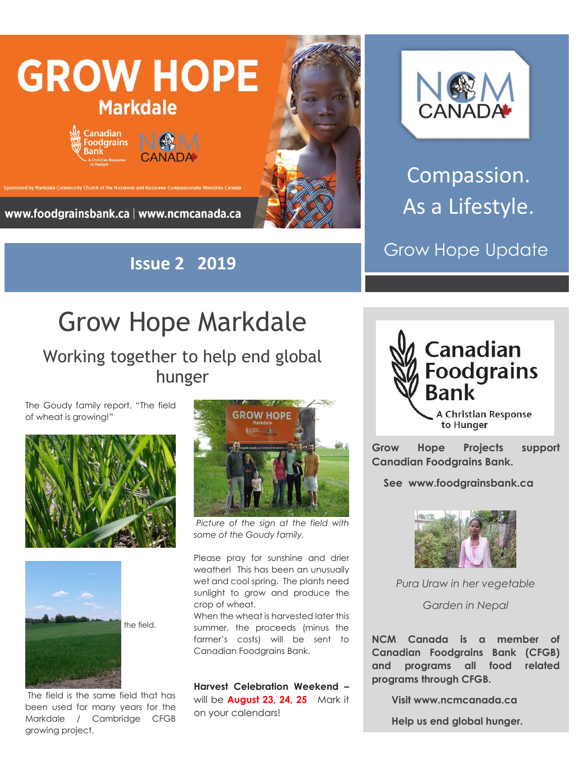

**Issue 2 2019**



Compassion. As a Lifestyle.

Grow Hope Update

## Grow Hope Markdale

Working together to help end global hunger

The Goudy family report, "The field of wheat is growing!"





the field.

The field is the same field that has been used for many years for the Markdale / Cambridge CFGB growing project.



*Picture of the sign at the field with some of the Goudy family.*

Please pray for sunshine and drier weather! This has been an unusually wet and cool spring. The plants need sunlight to grow and produce the crop of wheat.

When the wheat is harvested later this summer, the proceeds (minus the farmer's costs) will be sent to Canadian Foodgrains Bank.

**Harvest Celebration Weekend –** will be **August 23, 24, 25** Mark it on your calendars!



**Grow Hope Projects support Canadian Foodgrains Bank.** 

 **See www.foodgrainsbank.ca**



*Pura Uraw in her vegetable*

*Garden in Nepal*

**NCM Canada is a member of Canadian Foodgrains Bank (CFGB) and programs all food related programs through CFGB.**

 **Visit www.ncmcanada.ca**

 **Help us end global hunger.**